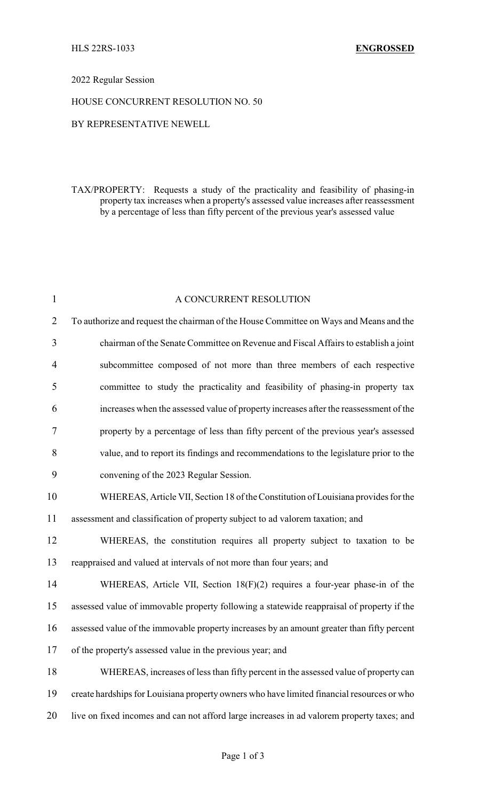### 2022 Regular Session

### HOUSE CONCURRENT RESOLUTION NO. 50

# BY REPRESENTATIVE NEWELL

TAX/PROPERTY: Requests a study of the practicality and feasibility of phasing-in property tax increases when a property's assessed value increases after reassessment by a percentage of less than fifty percent of the previous year's assessed value

| $\mathbf{1}$   | A CONCURRENT RESOLUTION                                                                    |
|----------------|--------------------------------------------------------------------------------------------|
| $\overline{2}$ | To authorize and request the chairman of the House Committee on Ways and Means and the     |
| 3              | chairman of the Senate Committee on Revenue and Fiscal Affairs to establish a joint        |
| 4              | subcommittee composed of not more than three members of each respective                    |
| 5              | committee to study the practicality and feasibility of phasing-in property tax             |
| 6              | increases when the assessed value of property increases after the reassessment of the      |
| 7              | property by a percentage of less than fifty percent of the previous year's assessed        |
| 8              | value, and to report its findings and recommendations to the legislature prior to the      |
| 9              | convening of the 2023 Regular Session.                                                     |
| 10             | WHEREAS, Article VII, Section 18 of the Constitution of Louisiana provides for the         |
| 11             | assessment and classification of property subject to ad valorem taxation; and              |
| 12             | WHEREAS, the constitution requires all property subject to taxation to be                  |
| 13             | reappraised and valued at intervals of not more than four years; and                       |
| 14             | WHEREAS, Article VII, Section 18(F)(2) requires a four-year phase-in of the                |
| 15             | assessed value of immovable property following a statewide reappraisal of property if the  |
| 16             | assessed value of the immovable property increases by an amount greater than fifty percent |
| 17             | of the property's assessed value in the previous year; and                                 |
| 18             | WHEREAS, increases of less than fifty percent in the assessed value of property can        |
| 19             | create hardships for Louisiana property owners who have limited financial resources or who |
| 20             | live on fixed incomes and can not afford large increases in ad valorem property taxes; and |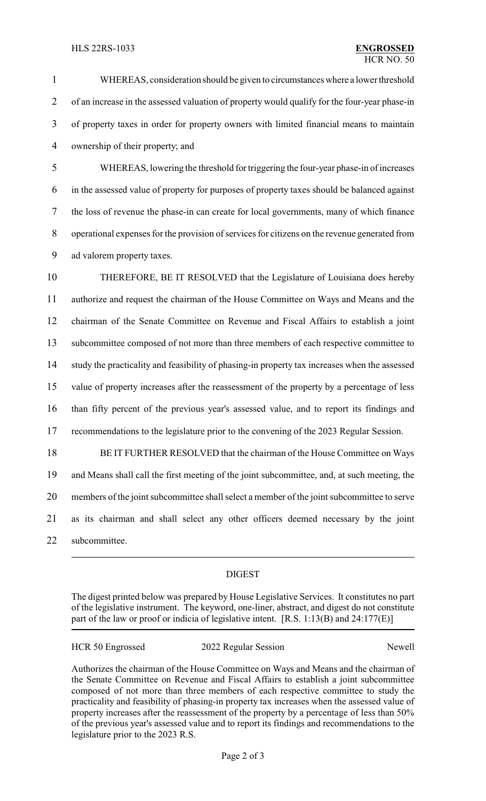#### HLS 22RS-1033 **ENGROSSED**

 WHEREAS, consideration should be given to circumstances where a lower threshold of an increase in the assessed valuation of property would qualify for the four-year phase-in of property taxes in order for property owners with limited financial means to maintain ownership of their property; and

 WHEREAS, lowering the threshold for triggering the four-year phase-in of increases in the assessed value of property for purposes of property taxes should be balanced against the loss of revenue the phase-in can create for local governments, many of which finance operational expenses for the provision of services for citizens on the revenue generated from ad valorem property taxes.

 THEREFORE, BE IT RESOLVED that the Legislature of Louisiana does hereby authorize and request the chairman of the House Committee on Ways and Means and the chairman of the Senate Committee on Revenue and Fiscal Affairs to establish a joint subcommittee composed of not more than three members of each respective committee to study the practicality and feasibility of phasing-in property tax increases when the assessed value of property increases after the reassessment of the property by a percentage of less than fifty percent of the previous year's assessed value, and to report its findings and recommendations to the legislature prior to the convening of the 2023 Regular Session. BE IT FURTHER RESOLVED that the chairman of the House Committee on Ways

 and Means shall call the first meeting of the joint subcommittee, and, at such meeting, the members of the joint subcommittee shall select a member of the joint subcommittee to serve as its chairman and shall select any other officers deemed necessary by the joint subcommittee.

# DIGEST

The digest printed below was prepared by House Legislative Services. It constitutes no part of the legislative instrument. The keyword, one-liner, abstract, and digest do not constitute part of the law or proof or indicia of legislative intent. [R.S. 1:13(B) and 24:177(E)]

| <b>HCR 50 Engrossed</b> | 2022 Regular Session | Newell |
|-------------------------|----------------------|--------|
|-------------------------|----------------------|--------|

Authorizes the chairman of the House Committee on Ways and Means and the chairman of the Senate Committee on Revenue and Fiscal Affairs to establish a joint subcommittee composed of not more than three members of each respective committee to study the practicality and feasibility of phasing-in property tax increases when the assessed value of property increases after the reassessment of the property by a percentage of less than 50% of the previous year's assessed value and to report its findings and recommendations to the legislature prior to the 2023 R.S.